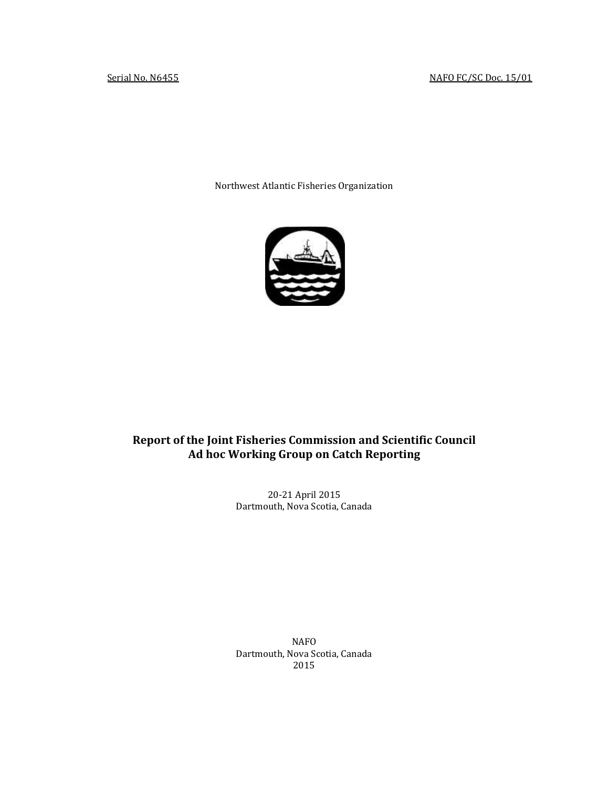Northwest Atlantic Fisheries Organization



# **Report of the Joint Fisheries Commission and Scientific Council Ad hoc Working Group on Catch Reporting**

20-21 April 2015 Dartmouth, Nova Scotia, Canada

NAFO Dartmouth, Nova Scotia, Canada 2015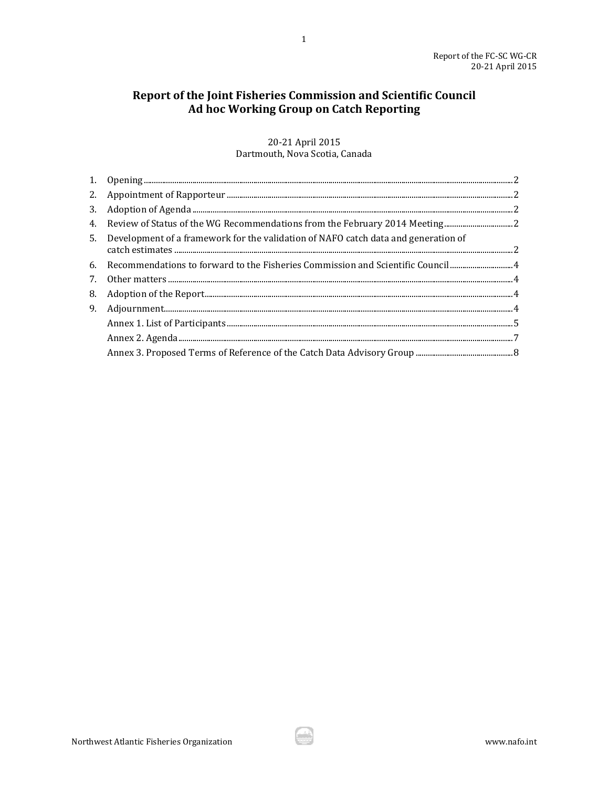# Report of the Joint Fisheries Commission and Scientific Council Ad hoc Working Group on Catch Reporting

 $\mathbf{1}$ 

# 20-21 April 2015 Dartmouth, Nova Scotia, Canada

| 4. Review of Status of the WG Recommendations from the February 2014 Meeting          |  |
|---------------------------------------------------------------------------------------|--|
| 5. Development of a framework for the validation of NAFO catch data and generation of |  |
| 6. Recommendations to forward to the Fisheries Commission and Scientific Council 4    |  |
|                                                                                       |  |
|                                                                                       |  |
|                                                                                       |  |
|                                                                                       |  |
|                                                                                       |  |
|                                                                                       |  |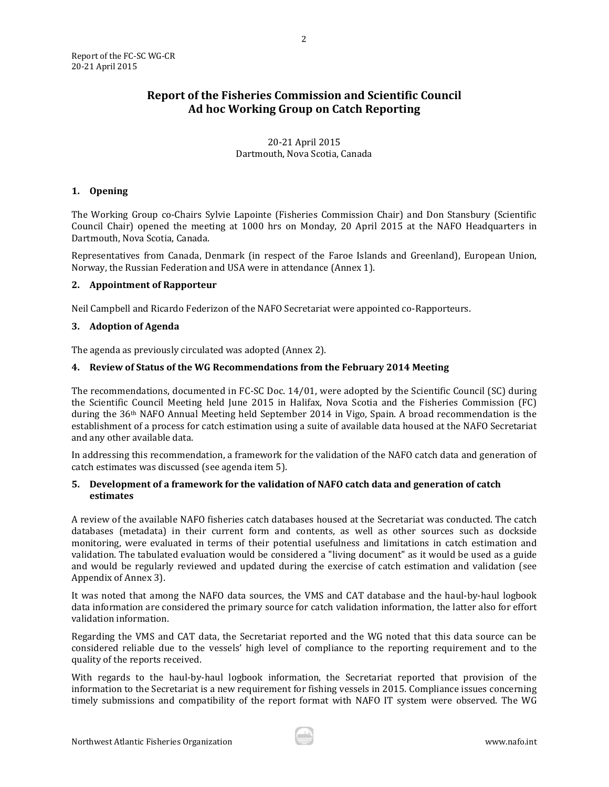# **Report of the Fisheries Commission and Scientific Council Ad hoc Working Group on Catch Reporting**

2

# 20-21 April 2015 Dartmouth, Nova Scotia, Canada

# <span id="page-2-0"></span>**1. Opening**

The Working Group co-Chairs Sylvie Lapointe (Fisheries Commission Chair) and Don Stansbury (Scientific Council Chair) opened the meeting at 1000 hrs on Monday, 20 April 2015 at the NAFO Headquarters in Dartmouth, Nova Scotia, Canada.

Representatives from Canada, Denmark (in respect of the Faroe Islands and Greenland), European Union, Norway, the Russian Federation and USA were in attendance (Annex 1).

# <span id="page-2-1"></span>**2. Appointment of Rapporteur**

Neil Campbell and Ricardo Federizon of the NAFO Secretariat were appointed co-Rapporteurs.

## <span id="page-2-2"></span>**3. Adoption of Agenda**

The agenda as previously circulated was adopted (Annex 2).

## <span id="page-2-3"></span>**4. Review of Status of the WG Recommendations from the February 2014 Meeting**

The recommendations, documented in FC-SC Doc. 14/01, were adopted by the Scientific Council (SC) during the Scientific Council Meeting held June 2015 in Halifax, Nova Scotia and the Fisheries Commission (FC) during the 36th NAFO Annual Meeting held September 2014 in Vigo, Spain. A broad recommendation is the establishment of a process for catch estimation using a suite of available data housed at the NAFO Secretariat and any other available data.

In addressing this recommendation, a framework for the validation of the NAFO catch data and generation of catch estimates was discussed (see agenda item 5).

# <span id="page-2-4"></span>**5. Development of a framework for the validation of NAFO catch data and generation of catch estimates**

A review of the available NAFO fisheries catch databases housed at the Secretariat was conducted. The catch databases (metadata) in their current form and contents, as well as other sources such as dockside monitoring, were evaluated in terms of their potential usefulness and limitations in catch estimation and validation. The tabulated evaluation would be considered a "living document" as it would be used as a guide and would be regularly reviewed and updated during the exercise of catch estimation and validation (see Appendix of Annex 3).

It was noted that among the NAFO data sources, the VMS and CAT database and the haul-by-haul logbook data information are considered the primary source for catch validation information, the latter also for effort validation information.

Regarding the VMS and CAT data, the Secretariat reported and the WG noted that this data source can be considered reliable due to the vessels' high level of compliance to the reporting requirement and to the quality of the reports received.

With regards to the haul-by-haul logbook information, the Secretariat reported that provision of the information to the Secretariat is a new requirement for fishing vessels in 2015. Compliance issues concerning timely submissions and compatibility of the report format with NAFO IT system were observed. The WG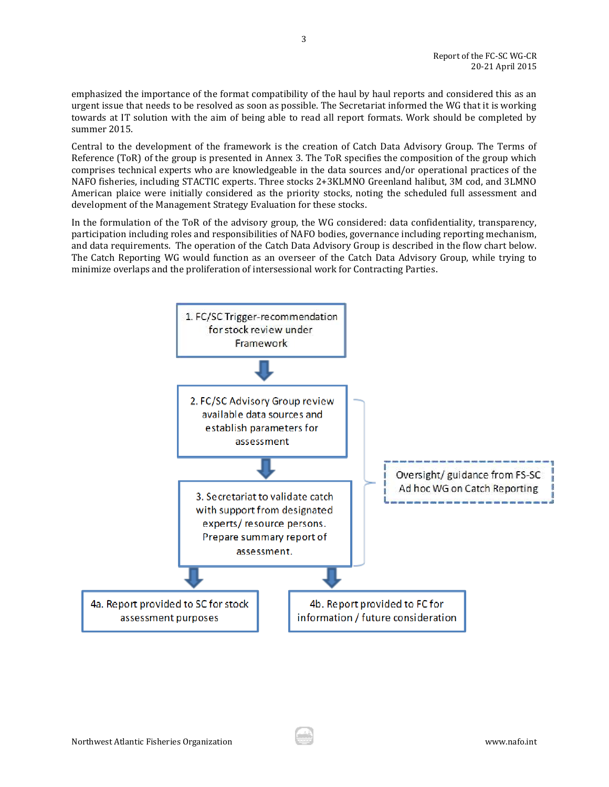emphasized the importance of the format compatibility of the haul by haul reports and considered this as an urgent issue that needs to be resolved as soon as possible. The Secretariat informed the WG that it is working towards at IT solution with the aim of being able to read all report formats. Work should be completed by summer 2015.

Central to the development of the framework is the creation of Catch Data Advisory Group. The Terms of Reference (ToR) of the group is presented in Annex 3. The ToR specifies the composition of the group which comprises technical experts who are knowledgeable in the data sources and/or operational practices of the NAFO fisheries, including STACTIC experts. Three stocks 2+3KLMNO Greenland halibut, 3M cod, and 3LMNO American plaice were initially considered as the priority stocks, noting the scheduled full assessment and development of the Management Strategy Evaluation for these stocks.

In the formulation of the ToR of the advisory group, the WG considered: data confidentiality, transparency, participation including roles and responsibilities of NAFO bodies, governance including reporting mechanism, and data requirements. The operation of the Catch Data Advisory Group is described in the flow chart below. The Catch Reporting WG would function as an overseer of the Catch Data Advisory Group, while trying to minimize overlaps and the proliferation of intersessional work for Contracting Parties.

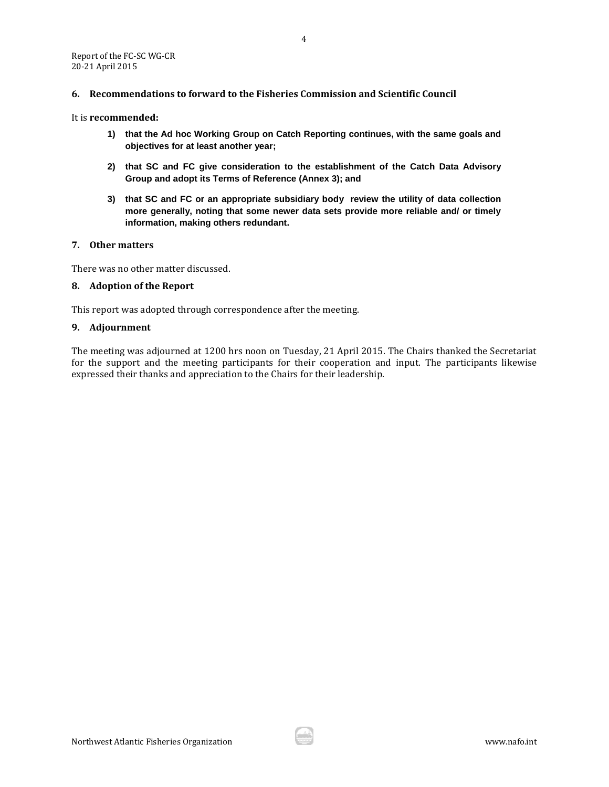## <span id="page-4-0"></span>**6. Recommendations to forward to the Fisheries Commission and Scientific Council**

#### It is **recommended:**

- **1) that the Ad hoc Working Group on Catch Reporting continues, with the same goals and objectives for at least another year;**
- **2) that SC and FC give consideration to the establishment of the Catch Data Advisory Group and adopt its Terms of Reference (Annex 3); and**
- **3) that SC and FC or an appropriate subsidiary body review the utility of data collection more generally, noting that some newer data sets provide more reliable and/ or timely information, making others redundant.**

#### <span id="page-4-1"></span>**7. Other matters**

There was no other matter discussed.

#### <span id="page-4-2"></span>**8. Adoption of the Report**

This report was adopted through correspondence after the meeting.

### <span id="page-4-3"></span>**9. Adjournment**

The meeting was adjourned at 1200 hrs noon on Tuesday, 21 April 2015. The Chairs thanked the Secretariat for the support and the meeting participants for their cooperation and input. The participants likewise expressed their thanks and appreciation to the Chairs for their leadership.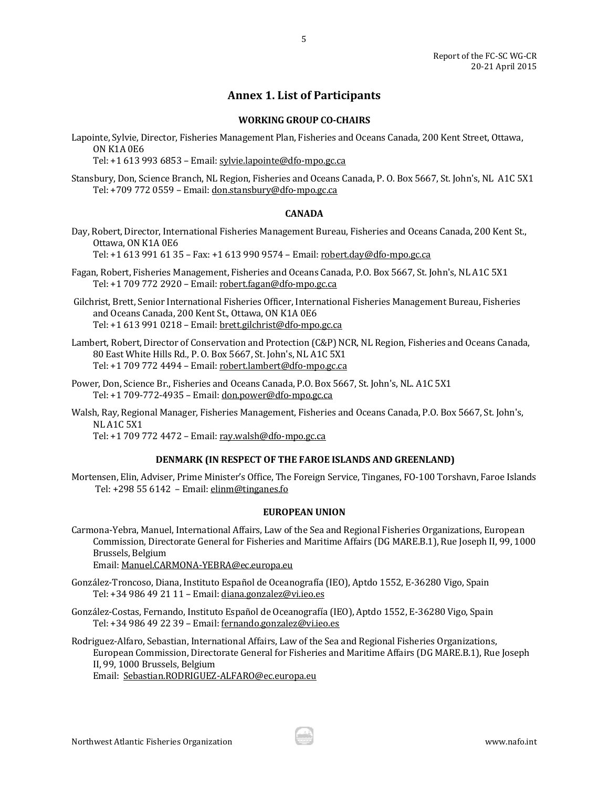# **Annex 1. List of Participants**

5

## **WORKING GROUP CO-CHAIRS**

<span id="page-5-0"></span>Lapointe, Sylvie, Director, Fisheries Management Plan, Fisheries and Oceans Canada, 200 Kent Street, Ottawa, ON K1A 0E6

Tel: +1 613 993 6853 – Email[: sylvie.lapointe@dfo-mpo.gc.ca](mailto:sylvie.lapointe@dfo-mpo.gc.ca)

Stansbury, Don, Science Branch, NL Region, Fisheries and Oceans Canada, P. O. Box 5667, St. John's, NL A1C 5X1 Tel: +709 772 0559 – Email[: don.stansbury@dfo-mpo.gc.ca](mailto:don.stansbury@dfo-mpo.gc.ca)

## **CANADA**

Day, Robert, Director, International Fisheries Management Bureau, Fisheries and Oceans Canada, 200 Kent St., Ottawa, ON K1A 0E6

Tel: +1 613 991 61 35 – Fax: +1 613 990 9574 – Email: [robert.day@dfo-mpo.gc.ca](mailto:robert.day@dfo-mpo.gc.ca)

- Fagan, Robert, Fisheries Management, Fisheries and Oceans Canada, P.O. Box 5667, St. John's, NL A1C 5X1 Tel: +1 709 772 2920 – Email[: robert.fagan@dfo-mpo.gc.ca](mailto:robert.fagan@dfo-mpo.gc.ca)
- Gilchrist, Brett, Senior International Fisheries Officer, International Fisheries Management Bureau, Fisheries and Oceans Canada, 200 Kent St., Ottawa, ON K1A 0E6 Tel: +1 613 991 0218 – Email[: brett.gilchrist@dfo-mpo.gc.ca](mailto:brett.gilchrist@dfo-mpo.gc.ca)
- Lambert, Robert, Director of Conservation and Protection (C&P) NCR, NL Region, Fisheries and Oceans Canada, 80 East White Hills Rd., P. O. Box 5667, St. John's, NL A1C 5X1 Tel: +1 709 772 4494 – Email[: robert.lambert@dfo-mpo.gc.ca](mailto:robert.lambert@dfo-mpo.gc.ca)
- Power, Don, Science Br., Fisheries and Oceans Canada, P.O. Box 5667, St. John's, NL. A1C 5X1 Tel: +1 709-772-4935 – Email: [don.power@dfo-mpo.gc.ca](mailto:don.power@dfo-mpo.gc.ca)
- Walsh, Ray, Regional Manager, Fisheries Management, Fisheries and Oceans Canada, P.O. Box 5667, St. John's, NL A1C 5X1

Tel: +1 709 772 4472 – Email[: ray.walsh@dfo-mpo.gc.ca](mailto:ray.walsh@dfo-mpo.gc.ca)

# **DENMARK (IN RESPECT OF THE FAROE ISLANDS AND GREENLAND)**

Mortensen, Elin, Adviser, Prime Minister's Office, The Foreign Service, Tinganes, FO-100 Torshavn, Faroe Islands Tel: +298 55 6142 – Email: [elinm@tinganes.fo](mailto:elinm@tinganes.fo)

# **EUROPEAN UNION**

Carmona-Yebra, Manuel, International Affairs, Law of the Sea and Regional Fisheries Organizations, European Commission, Directorate General for Fisheries and Maritime Affairs (DG MARE.B.1), Rue Joseph II, 99, 1000 Brussels, Belgium

Email[: Manuel.CARMONA-YEBRA@ec.europa.eu](mailto:Manuel.CARMONA-YEBRA@ec.europa.eu)

- González-Troncoso, Diana, Instituto Español de Oceanografía (IEO), Aptdo 1552, E-36280 Vigo, Spain Tel: +34 986 49 21 11 – Email: [diana.gonzalez@vi.ieo.es](mailto:diana.gonzalez@vi.ieo.es)
- González-Costas, Fernando, Instituto Español de Oceanografía (IEO), Aptdo 1552, E-36280 Vigo, Spain Tel: +34 986 49 22 39 – Email: [fernando.gonzalez@vi.ieo.es](mailto:fernando.gonzalez@vi.ieo.es)
- Rodriguez-Alfaro, Sebastian, International Affairs, Law of the Sea and Regional Fisheries Organizations, European Commission, Directorate General for Fisheries and Maritime Affairs (DG MARE.B.1), Rue Joseph II, 99, 1000 Brussels, Belgium

Email: [Sebastian.RODRIGUEZ-ALFARO@ec.europa.eu](mailto:Sebastian.RODRIGUEZ-ALFARO@ec.europa.eu)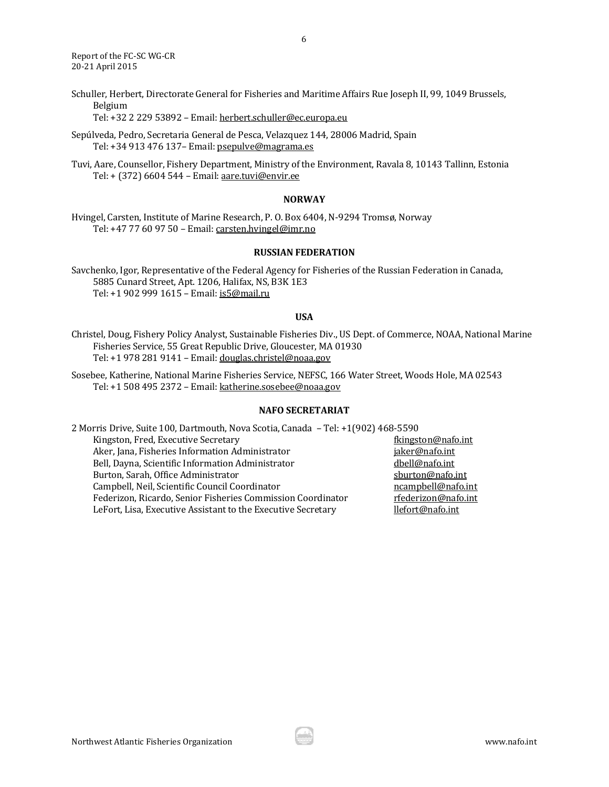Report of the FC-SC WG-CR 20-21 April 2015

Schuller, Herbert, Directorate General for Fisheries and Maritime Affairs Rue Joseph II, 99, 1049 Brussels, Belgium

Tel: +32 2 229 53892 – Email[: herbert.schuller@ec.europa.eu](mailto:herbert.schuller@ec.europa.eu)

Sepúlveda, Pedro, Secretaria General de Pesca, Velazquez 144, 28006 Madrid, Spain Tel: +34 913 476 137– Email[: psepulve@magrama.es](mailto:psepulve@magrama.es)

Tuvi, Aare, Counsellor, Fishery Department, Ministry of the Environment, Ravala 8, 10143 Tallinn, Estonia Tel: + (372) 6604 544 – Email[: aare.tuvi@envir.ee](mailto:aare.tuvi@envir.ee)

#### **NORWAY**

Hvingel, Carsten, Institute of Marine Research, P. O. Box 6404, N-9294 Tromsø, Norway Tel: +47 77 60 97 50 – Email[: carsten.hvingel@imr.no](mailto:carsten.hvingel@imr.no)

## **RUSSIAN FEDERATION**

Savchenko, Igor, Representative of the Federal Agency for Fisheries of the Russian Federation in Canada, 5885 Cunard Street, Apt. 1206, Halifax, NS, B3K 1E3 Tel: +1 902 999 1615 – Email[: is5@mail.ru](mailto:is5@mail.ru)

## **USA**

Christel, Doug, Fishery Policy Analyst, Sustainable Fisheries Div., US Dept. of Commerce, NOAA, National Marine Fisheries Service, 55 Great Republic Drive, Gloucester, MA 01930 Tel: +1 978 281 9141 – Email[: douglas.christel@noaa.gov](mailto:douglas.christel@noaa.gov)

Sosebee, Katherine, National Marine Fisheries Service, NEFSC, 166 Water Street, Woods Hole, MA 02543 Tel: +1 508 495 2372 – Email[: katherine.sosebee@noaa.gov](mailto:katherine.sosebee@noaa.gov)

### **NAFO SECRETARIAT**

2 Morris Drive, Suite 100, Dartmouth, Nova Scotia, Canada – Tel: +1(902) 468-5590 Kingston, Fred, Executive Secretary **Executive Secretary** filter and the state of the state of the state of the state of the state of the state of the state of the state of the state of the state of the state of the state Aker, Jana, Fisheries Information Administrator international stater@nafo.int Bell, Dayna, Scientific Information Administrator [dbell@nafo.int](mailto:dbell@nafo.int) Burton, Sarah, Office Administrator subsets and states of spurton@nafo.int Campbell, Neil, Scientific Council Coordinator [ncampbell@nafo.int](mailto:ncampbell@nafo.int) Federizon, Ricardo, Senior Fisheries Commission Coordinator [rfederizon@nafo.int](mailto:rfederizon@nafo.int) LeFort, Lisa, Executive Assistant to the Executive Secretary [llefort@nafo.int](mailto:llefort@nafo.int)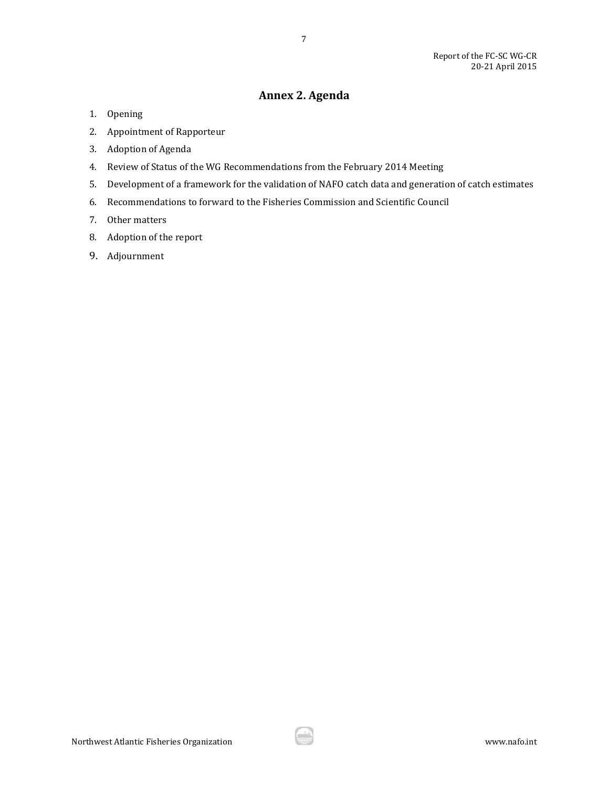# **Annex 2. Agenda**

7

- <span id="page-7-0"></span>1. Opening
- 2. Appointment of Rapporteur
- 3. Adoption of Agenda
- 4. Review of Status of the WG Recommendations from the February 2014 Meeting
- 5. Development of a framework for the validation of NAFO catch data and generation of catch estimates
- 6. Recommendations to forward to the Fisheries Commission and Scientific Council
- 7. Other matters
- 8. Adoption of the report
- 9. Adjournment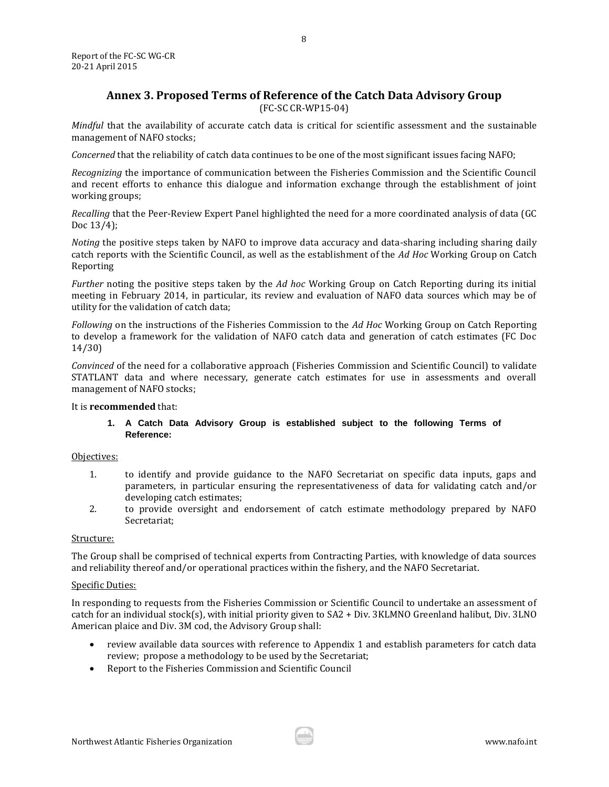# **Annex 3. Proposed Terms of Reference of the Catch Data Advisory Group**

(FC-SC CR-WP15-04)

<span id="page-8-0"></span>*Mindful* that the availability of accurate catch data is critical for scientific assessment and the sustainable management of NAFO stocks;

*Concerned* that the reliability of catch data continues to be one of the most significant issues facing NAFO;

*Recognizing* the importance of communication between the Fisheries Commission and the Scientific Council and recent efforts to enhance this dialogue and information exchange through the establishment of joint working groups;

*Recalling* that the Peer-Review Expert Panel highlighted the need for a more coordinated analysis of data (GC Doc 13/4);

*Noting* the positive steps taken by NAFO to improve data accuracy and data-sharing including sharing daily catch reports with the Scientific Council, as well as the establishment of the *Ad Hoc* Working Group on Catch Reporting

*Further* noting the positive steps taken by the *Ad hoc* Working Group on Catch Reporting during its initial meeting in February 2014, in particular, its review and evaluation of NAFO data sources which may be of utility for the validation of catch data;

*Following* on the instructions of the Fisheries Commission to the *Ad Hoc* Working Group on Catch Reporting to develop a framework for the validation of NAFO catch data and generation of catch estimates (FC Doc 14/30)

*Convinced* of the need for a collaborative approach (Fisheries Commission and Scientific Council) to validate STATLANT data and where necessary, generate catch estimates for use in assessments and overall management of NAFO stocks;

# It is **recommended** that:

## **1. A Catch Data Advisory Group is established subject to the following Terms of Reference:**

#### Objectives:

- 1. to identify and provide guidance to the NAFO Secretariat on specific data inputs, gaps and parameters, in particular ensuring the representativeness of data for validating catch and/or developing catch estimates;
- 2. to provide oversight and endorsement of catch estimate methodology prepared by NAFO Secretariat;

### Structure:

The Group shall be comprised of technical experts from Contracting Parties, with knowledge of data sources and reliability thereof and/or operational practices within the fishery, and the NAFO Secretariat.

#### Specific Duties:

In responding to requests from the Fisheries Commission or Scientific Council to undertake an assessment of catch for an individual stock(s), with initial priority given to SA2 + Div. 3KLMNO Greenland halibut, Div. 3LNO American plaice and Div. 3M cod, the Advisory Group shall:

- review available data sources with reference to Appendix 1 and establish parameters for catch data review; propose a methodology to be used by the Secretariat;
- Report to the Fisheries Commission and Scientific Council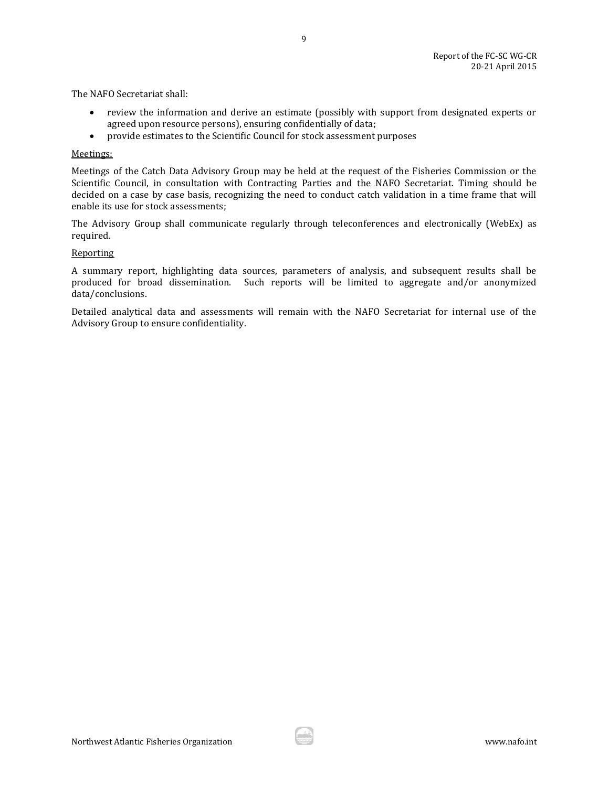The NAFO Secretariat shall:

- review the information and derive an estimate (possibly with support from designated experts or agreed upon resource persons), ensuring confidentially of data;
- provide estimates to the Scientific Council for stock assessment purposes

#### Meetings:

Meetings of the Catch Data Advisory Group may be held at the request of the Fisheries Commission or the Scientific Council, in consultation with Contracting Parties and the NAFO Secretariat. Timing should be decided on a case by case basis, recognizing the need to conduct catch validation in a time frame that will enable its use for stock assessments;

The Advisory Group shall communicate regularly through teleconferences and electronically (WebEx) as required.

#### Reporting

A summary report, highlighting data sources, parameters of analysis, and subsequent results shall be produced for broad dissemination. Such reports will be limited to aggregate and/or anonymized data/conclusions.

Detailed analytical data and assessments will remain with the NAFO Secretariat for internal use of the Advisory Group to ensure confidentiality.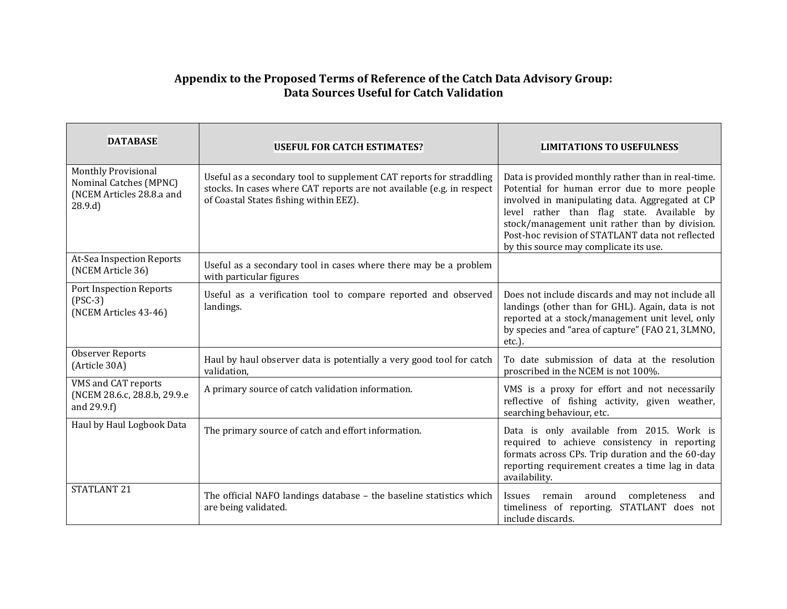# **Appendix to the Proposed Terms of Reference of the Catch Data Advisory Group: Data Sources Useful for Catch Validation**

| <b>DATABASE</b>                                                                      | <b>USEFUL FOR CATCH ESTIMATES?</b>                                                                                                                                                     | <b>LIMITATIONS TO USEFULNESS</b>                                                                                                                                                                                                                                                                                                                    |
|--------------------------------------------------------------------------------------|----------------------------------------------------------------------------------------------------------------------------------------------------------------------------------------|-----------------------------------------------------------------------------------------------------------------------------------------------------------------------------------------------------------------------------------------------------------------------------------------------------------------------------------------------------|
| Monthly Provisional<br>Nominal Catches (MPNC)<br>(NCEM Articles 28.8.a and<br>28.9.d | Useful as a secondary tool to supplement CAT reports for straddling<br>stocks. In cases where CAT reports are not available (e.g. in respect<br>of Coastal States fishing within EEZ). | Data is provided monthly rather than in real-time.<br>Potential for human error due to more people<br>involved in manipulating data. Aggregated at CP<br>level rather than flag state. Available by<br>stock/management unit rather than by division.<br>Post-hoc revision of STATLANT data not reflected<br>by this source may complicate its use. |
| At-Sea Inspection Reports<br>(NCEM Article 36)                                       | Useful as a secondary tool in cases where there may be a problem<br>with particular figures                                                                                            |                                                                                                                                                                                                                                                                                                                                                     |
| Port Inspection Reports<br>$(PSC-3)$<br>(NCEM Articles 43-46)                        | Useful as a verification tool to compare reported and observed<br>landings.                                                                                                            | Does not include discards and may not include all<br>landings (other than for GHL). Again, data is not<br>reported at a stock/management unit level, only<br>by species and "area of capture" (FAO 21, 3LMNO,<br>etc.).                                                                                                                             |
| <b>Observer Reports</b><br>(Article 30A)                                             | Haul by haul observer data is potentially a very good tool for catch<br>validation,                                                                                                    | To date submission of data at the resolution<br>proscribed in the NCEM is not 100%.                                                                                                                                                                                                                                                                 |
| VMS and CAT reports<br>(NCEM 28.6.c, 28.8.b, 29.9.e<br>and 29.9.f)                   | A primary source of catch validation information.                                                                                                                                      | VMS is a proxy for effort and not necessarily<br>reflective of fishing activity, given weather,<br>searching behaviour, etc.                                                                                                                                                                                                                        |
| Haul by Haul Logbook Data                                                            | The primary source of catch and effort information.                                                                                                                                    | Data is only available from 2015. Work is<br>required to achieve consistency in reporting<br>formats across CPs. Trip duration and the 60-day<br>reporting requirement creates a time lag in data<br>availability.                                                                                                                                  |
| <b>STATLANT 21</b>                                                                   | The official NAFO landings database - the baseline statistics which<br>are being validated.                                                                                            | around<br>completeness<br>Issues remain<br>and<br>timeliness of reporting. STATLANT does not<br>include discards.                                                                                                                                                                                                                                   |